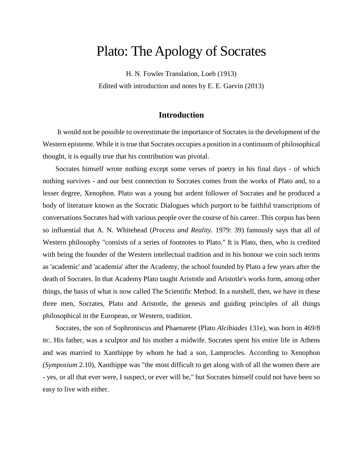# Plato: The Apology of Socrates

H. N. Fowler Translation, Loeb (1913) Edited with introduction and notes by E. E. Garvin (2013)

# **Introduction**

It would not be possible to overestimate the importance of Socrates in the development of the Western episteme. While it is true that Socrates occupies a position in a continuum of philosophical thought, it is equally true that his contribution was pivotal.

Socrates himself wrote nothing except some verses of poetry in his final days - of which nothing survives - and our best connection to Socrates comes from the works of Plato and, to a lesser degree, Xenophon. Plato was a young but ardent follower of Socrates and he produced a body of literature known as the Socratic Dialogues which purport to be faithful transcriptions of conversations Socrates had with various people over the course of his career. This corpus has been so influential that A. N. Whitehead (*Process and Reality*. 1979: 39) famously says that all of Western philosophy "consists of a series of footnotes to Plato." It is Plato, then, who is credited with being the founder of the Western intellectual tradition and in his honour we coin such terms as 'academic' and 'academia' after the Academy, the school founded by Plato a few years after the death of Socrates. In that Academy Plato taught Aristotle and Aristotle's works form, among other things, the basis of what is now called The Scientific Method. In a nutshell, then, we have in these three men, Socrates, Plato and Aristotle, the genesis and guiding principles of all things philosophical in the European, or Western, tradition.

Socrates, the son of Sophroniscus and Phaenarete (Plato *Alcibiades* 131e), was born in 469/8 BC. His father, was a sculptor and his mother a midwife. Socrates spent his entire life in Athens and was married to Xanthippe by whom he had a son, Lamprocles. According to Xenophon (*Symposium* 2.10), Xanthippe was "the most difficult to get along with of all the women there are - yes, or all that ever were, I suspect, or ever will be," but Socrates himself could not have been so easy to live with either.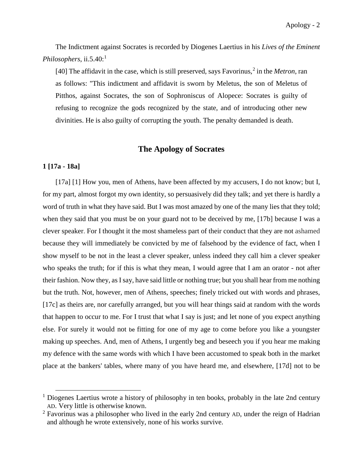The Indictment against Socrates is recorded by Diogenes Laertius in his *Lives of the Eminent Philosophers*, ii.5.40:<sup>[1](#page-1-0)</sup>

[40] The affidavit in the case, which is still preserved, says Favorinus,<sup>[2](#page-1-1)</sup> in the *Metron*, ran as follows: "This indictment and affidavit is sworn by Meletus, the son of Meletus of Pitthos, against Socrates, the son of Sophroniscus of Alopece: Socrates is guilty of refusing to recognize the gods recognized by the state, and of introducing other new divinities. He is also guilty of corrupting the youth. The penalty demanded is death.

# **The Apology of Socrates**

## **1 [17a - 18a]**

 $\overline{a}$ 

[17a] [1] How you, men of Athens, have been affected by my accusers, I do not know; but I, for my part, almost forgot my own identity, so persuasively did they talk; and yet there is hardly a word of truth in what they have said. But I was most amazed by one of the many lies that they told; when they said that you must be on your guard not to be deceived by me, [17b] because I was a clever speaker. For I thought it the most shameless part of their conduct that they are not ashamed because they will immediately be convicted by me of falsehood by the evidence of fact, when I show myself to be not in the least a clever speaker, unless indeed they call him a clever speaker who speaks the truth; for if this is what they mean, I would agree that I am an orator - not after their fashion. Now they, as I say, have said little or nothing true; but you shall hear from me nothing but the truth. Not, however, men of Athens, speeches; finely tricked out with words and phrases, [17c] as theirs are, nor carefully arranged, but you will hear things said at random with the words that happen to occur to me. For I trust that what I say is just; and let none of you expect anything else. For surely it would not be fitting for one of my age to come before you like a youngster making up speeches. And, men of Athens, I urgently beg and beseech you if you hear me making my defence with the same words with which I have been accustomed to speak both in the market place at the bankers' tables, where many of you have heard me, and elsewhere, [17d] not to be

<span id="page-1-0"></span> $<sup>1</sup>$  Diogenes Laertius wrote a history of philosophy in ten books, probably in the late 2nd century</sup> AD. Very little is otherwise known.

<span id="page-1-1"></span> $2$  Favorinus was a philosopher who lived in the early 2nd century AD, under the reign of Hadrian and although he wrote extensively, none of his works survive.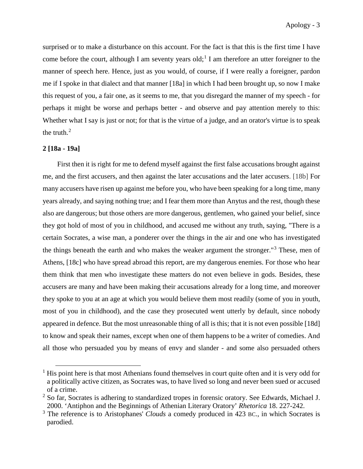surprised or to make a disturbance on this account. For the fact is that this is the first time I have come before the court, although I am seventy years old;<sup>[1](#page-2-0)</sup> I am therefore an utter foreigner to the manner of speech here. Hence, just as you would, of course, if I were really a foreigner, pardon me if I spoke in that dialect and that manner [18a] in which I had been brought up, so now I make this request of you, a fair one, as it seems to me, that you disregard the manner of my speech - for perhaps it might be worse and perhaps better - and observe and pay attention merely to this: Whether what I say is just or not; for that is the virtue of a judge, and an orator's virtue is to speak the truth. $2$ 

#### **2 [18a - 19a]**

 $\overline{a}$ 

First then it is right for me to defend myself against the first false accusations brought against me, and the first accusers, and then against the later accusations and the later accusers. [18b] For many accusers have risen up against me before you, who have been speaking for a long time, many years already, and saying nothing true; and I fear them more than Anytus and the rest, though these also are dangerous; but those others are more dangerous, gentlemen, who gained your belief, since they got hold of most of you in childhood, and accused me without any truth, saying, "There is a certain Socrates, a wise man, a ponderer over the things in the air and one who has investigated the things beneath the earth and who makes the weaker argument the stronger."[3](#page-2-2) These, men of Athens, [18c] who have spread abroad this report, are my dangerous enemies. For those who hear them think that men who investigate these matters do not even believe in gods. Besides, these accusers are many and have been making their accusations already for a long time, and moreover they spoke to you at an age at which you would believe them most readily (some of you in youth, most of you in childhood), and the case they prosecuted went utterly by default, since nobody appeared in defence. But the most unreasonable thing of all is this; that it is not even possible [18d] to know and speak their names, except when one of them happens to be a writer of comedies. And all those who persuaded you by means of envy and slander - and some also persuaded others

<span id="page-2-0"></span> $<sup>1</sup>$  His point here is that most Athenians found themselves in court quite often and it is very odd for</sup> a politically active citizen, as Socrates was, to have lived so long and never been sued or accused of a crime.

<span id="page-2-1"></span> $2$  So far, Socrates is adhering to standardized tropes in forensic oratory. See Edwards, Michael J. 2000. 'Antiphon and the Beginnings of Athenian Literary Oratory' *Rhetorica* 18. 227-242.

<span id="page-2-2"></span><sup>&</sup>lt;sup>3</sup> The reference is to Aristophanes' *Clouds* a comedy produced in 423 BC., in which Socrates is parodied.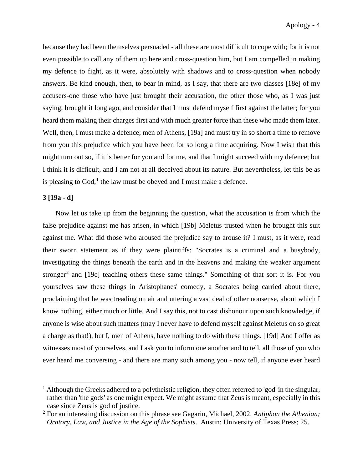because they had been themselves persuaded - all these are most difficult to cope with; for it is not even possible to call any of them up here and cross-question him, but I am compelled in making my defence to fight, as it were, absolutely with shadows and to cross-question when nobody answers. Be kind enough, then, to bear in mind, as I say, that there are two classes [18e] of my accusers-one those who have just brought their accusation, the other those who, as I was just saying, brought it long ago, and consider that I must defend myself first against the latter; for you heard them making their charges first and with much greater force than these who made them later. Well, then, I must make a defence; men of Athens, [19a] and must try in so short a time to remove from you this prejudice which you have been for so long a time acquiring. Now I wish that this might turn out so, if it is better for you and for me, and that I might succeed with my defence; but I think it is difficult, and I am not at all deceived about its nature. But nevertheless, let this be as is pleasing to God, $<sup>1</sup>$  $<sup>1</sup>$  $<sup>1</sup>$  the law must be obeyed and I must make a defence.</sup>

#### **3 [19a - d]**

 $\overline{a}$ 

Now let us take up from the beginning the question, what the accusation is from which the false prejudice against me has arisen, in which [19b] Meletus trusted when he brought this suit against me. What did those who aroused the prejudice say to arouse it? I must, as it were, read their sworn statement as if they were plaintiffs: "Socrates is a criminal and a busybody, investigating the things beneath the earth and in the heavens and making the weaker argument stronger<sup>[2](#page-3-1)</sup> and  $[19c]$  teaching others these same things." Something of that sort it is. For you yourselves saw these things in Aristophanes' comedy, a Socrates being carried about there, proclaiming that he was treading on air and uttering a vast deal of other nonsense, about which I know nothing, either much or little. And I say this, not to cast dishonour upon such knowledge, if anyone is wise about such matters (may I never have to defend myself against Meletus on so great a charge as that!), but I, men of Athens, have nothing to do with these things. [19d] And I offer as witnesses most of yourselves, and I ask you to inform one another and to tell, all those of you who ever heard me conversing - and there are many such among you - now tell, if anyone ever heard

<span id="page-3-0"></span><sup>&</sup>lt;sup>1</sup> Although the Greeks adhered to a polytheistic religion, they often referred to 'god' in the singular, rather than 'the gods' as one might expect. We might assume that Zeus is meant, especially in this case since Zeus is god of justice.

<span id="page-3-1"></span><sup>2</sup> For an interesting discussion on this phrase see Gagarin, Michael, 2002. *Antiphon the Athenian; Oratory, Law, and Justice in the Age of the Sophists*. Austin: University of Texas Press; 25.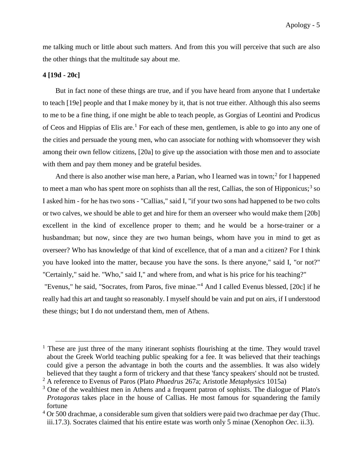me talking much or little about such matters. And from this you will perceive that such are also the other things that the multitude say about me.

## **4 [19d - 20c]**

 $\overline{a}$ 

But in fact none of these things are true, and if you have heard from anyone that I undertake to teach [19e] people and that I make money by it, that is not true either. Although this also seems to me to be a fine thing, if one might be able to teach people, as Gorgias of Leontini and Prodicus of Ceos and Hippias of Elis are.<sup>[1](#page-4-0)</sup> For each of these men, gentlemen, is able to go into any one of the cities and persuade the young men, who can associate for nothing with whomsoever they wish among their own fellow citizens, [20a] to give up the association with those men and to associate with them and pay them money and be grateful besides.

And there is also another wise man here, a Parian, who I learned was in town;<sup>[2](#page-4-1)</sup> for I happened to meet a man who has spent more on sophists than all the rest, Callias, the son of Hipponicus;<sup>[3](#page-4-2)</sup> so I asked him - for he has two sons - "Callias," said I, "if your two sons had happened to be two colts or two calves, we should be able to get and hire for them an overseer who would make them [20b] excellent in the kind of excellence proper to them; and he would be a horse-trainer or a husbandman; but now, since they are two human beings, whom have you in mind to get as overseer? Who has knowledge of that kind of excellence, that of a man and a citizen? For I think you have looked into the matter, because you have the sons. Is there anyone," said I, "or not?" "Certainly," said he. "Who," said I," and where from, and what is his price for his teaching?" "Evenus," he said, "Socrates, from Paros, five minae."[4](#page-4-3) And I called Evenus blessed, [20c] if he

really had this art and taught so reasonably. I myself should be vain and put on airs, if I understood these things; but I do not understand them, men of Athens.

<span id="page-4-0"></span> $<sup>1</sup>$  These are just three of the many itinerant sophists flourishing at the time. They would travel</sup> about the Greek World teaching public speaking for a fee. It was believed that their teachings could give a person the advantage in both the courts and the assemblies. It was also widely believed that they taught a form of trickery and that these 'fancy speakers' should not be trusted.

<span id="page-4-1"></span><sup>2</sup> A reference to Evenus of Paros (Plato *Phaedrus* 267a; Aristotle *Metaphysics* 1015a)

<span id="page-4-2"></span><sup>&</sup>lt;sup>3</sup> One of the wealthiest men in Athens and a frequent patron of sophists. The dialogue of Plato's *Protagoras* takes place in the house of Callias. He most famous for squandering the family fortune

<span id="page-4-3"></span> $4$  Or 500 drachmae, a considerable sum given that soldiers were paid two drachmae per day (Thuc. iii.17.3). Socrates claimed that his entire estate was worth only 5 minae (Xenophon *Oec*. ii.3).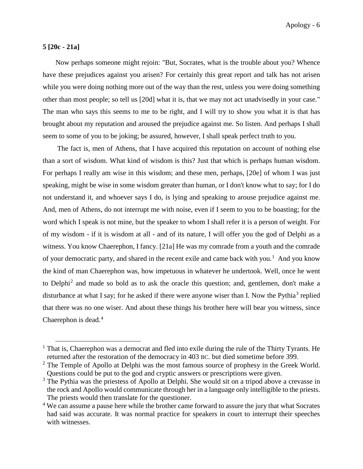## **5 [20c - 21a]**

 $\overline{a}$ 

Now perhaps someone might rejoin: "But, Socrates, what is the trouble about you? Whence have these prejudices against you arisen? For certainly this great report and talk has not arisen while you were doing nothing more out of the way than the rest, unless you were doing something other than most people; so tell us [20d] what it is, that we may not act unadvisedly in your case." The man who says this seems to me to be right, and I will try to show you what it is that has brought about my reputation and aroused the prejudice against me. So listen. And perhaps I shall seem to some of you to be joking; be assured, however, I shall speak perfect truth to you.

The fact is, men of Athens, that I have acquired this reputation on account of nothing else than a sort of wisdom. What kind of wisdom is this? Just that which is perhaps human wisdom. For perhaps I really am wise in this wisdom; and these men, perhaps, [20e] of whom I was just speaking, might be wise in some wisdom greater than human, or I don't know what to say; for I do not understand it, and whoever says I do, is lying and speaking to arouse prejudice against me. And, men of Athens, do not interrupt me with noise, even if I seem to you to be boasting; for the word which I speak is not mine, but the speaker to whom I shall refer it is a person of weight. For of my wisdom - if it is wisdom at all - and of its nature, I will offer you the god of Delphi as a witness. You know Chaerephon, I fancy. [21a] He was my comrade from a youth and the comrade of your democratic party, and shared in the recent exile and came back with you.<sup>[1](#page-5-0)</sup> And you know the kind of man Chaerephon was, how impetuous in whatever he undertook. Well, once he went to Delphi[2](#page-5-1) and made so bold as to ask the oracle this question; and, gentlemen, don't make a disturbance at what I say; for he asked if there were anyone wiser than I. Now the Pythia<sup>[3](#page-5-2)</sup> replied that there was no one wiser. And about these things his brother here will bear you witness, since Chaerephon is dead.<sup>[4](#page-5-3)</sup>

<span id="page-5-0"></span> $<sup>1</sup>$  That is, Chaerephon was a democrat and fled into exile during the rule of the Thirty Tyrants. He</sup> returned after the restoration of the democracy in 403 BC. but died sometime before 399.

<span id="page-5-1"></span><sup>&</sup>lt;sup>2</sup> The Temple of Apollo at Delphi was the most famous source of prophesy in the Greek World. Questions could be put to the god and cryptic answers or prescriptions were given.

<span id="page-5-2"></span><sup>&</sup>lt;sup>3</sup> The Pythia was the priestess of Apollo at Delphi. She would sit on a tripod above a crevasse in the rock and Apollo would communicate through her in a language only intelligible to the priests. The priests would then translate for the questioner.

<span id="page-5-3"></span><sup>&</sup>lt;sup>4</sup> We can assume a pause here while the brother came forward to assure the jury that what Socrates had said was accurate. It was normal practice for speakers in court to interrupt their speeches with witnesses.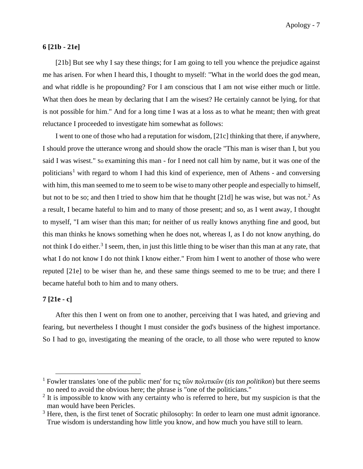## **6 [21b - 21e]**

[21b] But see why I say these things; for I am going to tell you whence the prejudice against me has arisen. For when I heard this, I thought to myself: "What in the world does the god mean, and what riddle is he propounding? For I am conscious that I am not wise either much or little. What then does he mean by declaring that I am the wisest? He certainly cannot be lying, for that is not possible for him." And for a long time I was at a loss as to what he meant; then with great reluctance I proceeded to investigate him somewhat as follows:

I went to one of those who had a reputation for wisdom, [21c] thinking that there, if anywhere, I should prove the utterance wrong and should show the oracle "This man is wiser than I, but you said I was wisest." So examining this man - for I need not call him by name, but it was one of the politicians<sup>[1](#page-6-0)</sup> with regard to whom I had this kind of experience, men of Athens - and conversing with him, this man seemed to me to seem to be wise to many other people and especially to himself, but not to be so; and then I tried to show him that he thought [[2](#page-6-1)1d] he was wise, but was not.<sup>2</sup> As a result, I became hateful to him and to many of those present; and so, as I went away, I thought to myself, "I am wiser than this man; for neither of us really knows anything fine and good, but this man thinks he knows something when he does not, whereas I, as I do not know anything, do not think I do either.<sup>[3](#page-6-2)</sup> I seem, then, in just this little thing to be wiser than this man at any rate, that what I do not know I do not think I know either." From him I went to another of those who were reputed [21e] to be wiser than he, and these same things seemed to me to be true; and there I became hateful both to him and to many others.

## **7 [21e - c]**

 $\overline{a}$ 

After this then I went on from one to another, perceiving that I was hated, and grieving and fearing, but nevertheless I thought I must consider the god's business of the highest importance. So I had to go, investigating the meaning of the oracle, to all those who were reputed to know

<span id="page-6-0"></span><sup>1</sup> Fowler translates 'one of the public men' for τις τῶν πολιτικῶν (*tis ton politikon*) but there seems no need to avoid the obvious here; the phrase is "one of the politicians."

<span id="page-6-1"></span> $2$  It is impossible to know with any certainty who is referred to here, but my suspicion is that the man would have been Pericles.

<span id="page-6-2"></span><sup>&</sup>lt;sup>3</sup> Here, then, is the first tenet of Socratic philosophy: In order to learn one must admit ignorance. True wisdom is understanding how little you know, and how much you have still to learn.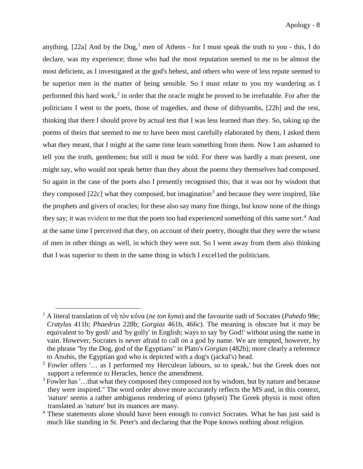anything. [22a] And by the  $\text{Dog}$ ,<sup>[1](#page-7-0)</sup> men of Athens - for I must speak the truth to you - this, I do declare, was my experience; those who had the most reputation seemed to me to be almost the most deficient, as I investigated at the god's behest, and others who were of less repute seemed to be superior men in the matter of being sensible. So I must relate to you my wandering as I performed this hard work,<sup>[2](#page-7-1)</sup> in order that the oracle might be proved to be irrefutable. For after the politicians I went to the poets, those of tragedies, and those of dithyrambs, [22b] and the rest, thinking that there I should prove by actual test that I was less learned than they. So, taking up the poems of theirs that seemed to me to have been most carefully elaborated by them, I asked them what they meant, that I might at the same time learn something from them. Now I am ashamed to tell you the truth, gentlemen; but still it must be told. For there was hardly a man present, one might say, who would not speak better than they about the poems they themselves had composed. So again in the case of the poets also I presently recognised this; that it was not by wisdom that they composed  $[22c]$  what they composed, but imagination<sup>[3](#page-7-2)</sup> and because they were inspired, like the prophets and givers of oracles; for these also say many fine things, but know none of the things they say; it was evident to me that the poets too had experienced something of this same sort.<sup>[4](#page-7-3)</sup> And at the same time I perceived that they, on account of their poetry, thought that they were the wisest of men in other things as well, in which they were not. So I went away from them also thinking that I was superior to them in the same thing in which I excel1ed the politicians.

 $\overline{a}$ 

<span id="page-7-0"></span><sup>1</sup> A literal translation of νὴ τὸν κύνα (*ne ton kyna*) and the favourite oath of Socrates (*Pahedo* 98e; *Cratylus* 411b; *Phaedrus* 228b; *Gorgias* 461b, 466c). The meaning is obscure but it may be equivalent to 'by gosh' and 'by golly' in English; ways to say 'by God!' without using the name in vain. However, Socrates is never afraid to call on a god by name. We are tempted, however, by the phrase "by the Dog, god of the Egyptians" in Plato's *Gorgias* (482b); more clearly a reference to Anubis, the Egyptian god who is depicted with a dog's (jackal's) head.

<span id="page-7-1"></span><sup>2</sup> Fowler offers '… as I performed my Herculean labours, so to speak,' but the Greek does not support a reference to Heracles, hence the amendment.

<span id="page-7-2"></span><sup>&</sup>lt;sup>3</sup> Fowler has '...that what they composed they composed not by wisdom, but by nature and because they were inspired." The word order above more accurately reflects the MS and, in this context, 'nature' seems a rather ambiguous rendering of φύσει (physei) The Greek physis is most often translated as 'nature' but its nuances are many.

<span id="page-7-3"></span><sup>&</sup>lt;sup>4</sup> These statements alone should have been enough to convict Socrates. What he has just said is much like standing in St. Peter's and declaring that the Pope knows nothing about religion.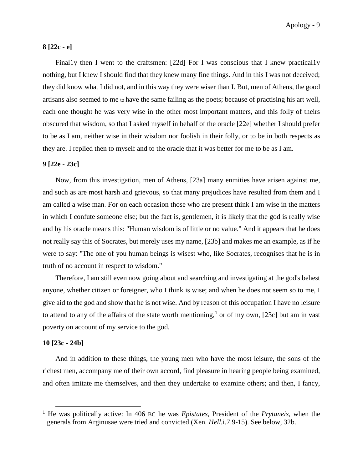# **8 [22c - e]**

Final1y then I went to the craftsmen: [22d] For I was conscious that I knew practical1y nothing, but I knew I should find that they knew many fine things. And in this I was not deceived; they did know what I did not, and in this way they were wiser than I. But, men of Athens, the good artisans also seemed to me to have the same failing as the poets; because of practising his art well, each one thought he was very wise in the other most important matters, and this folly of theirs obscured that wisdom, so that I asked myself in behalf of the oracle [22e] whether I should prefer to be as I am, neither wise in their wisdom nor foolish in their folly, or to be in both respects as they are. I replied then to myself and to the oracle that it was better for me to be as I am.

#### **9 [22e - 23c]**

Now, from this investigation, men of Athens, [23a] many enmities have arisen against me, and such as are most harsh and grievous, so that many prejudices have resulted from them and I am called a wise man. For on each occasion those who are present think I am wise in the matters in which I confute someone else; but the fact is, gentlemen, it is likely that the god is really wise and by his oracle means this: "Human wisdom is of little or no value." And it appears that he does not really say this of Socrates, but merely uses my name, [23b] and makes me an example, as if he were to say: "The one of you human beings is wisest who, like Socrates, recognises that he is in truth of no account in respect to wisdom."

Therefore, I am still even now going about and searching and investigating at the god's behest anyone, whether citizen or foreigner, who I think is wise; and when he does not seem so to me, I give aid to the god and show that he is not wise. And by reason of this occupation I have no leisure to attend to any of the affairs of the state worth mentioning,<sup>[1](#page-8-0)</sup> or of my own, [23c] but am in vast poverty on account of my service to the god.

#### **10 [23c - 24b]**

 $\overline{a}$ 

And in addition to these things, the young men who have the most leisure, the sons of the richest men, accompany me of their own accord, find pleasure in hearing people being examined, and often imitate me themselves, and then they undertake to examine others; and then, I fancy,

<span id="page-8-0"></span><sup>1</sup> He was politically active: In 406 BC he was *Epistates*, President of the *Prytaneis*, when the generals from Arginusae were tried and convicted (Xen. *Hell.*i.7.9-15). See below, 32b.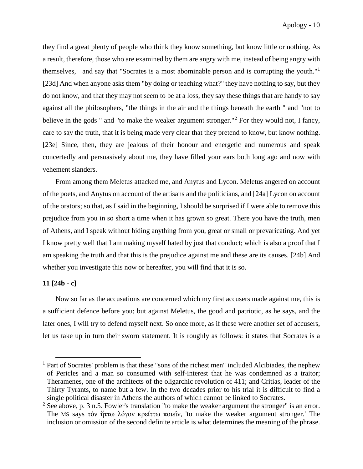they find a great plenty of people who think they know something, but know little or nothing. As a result, therefore, those who are examined by them are angry with me, instead of being angry with themselves, and say that "Socrates is a most abominable person and is corrupting the youth."[1](#page-9-0) [23d] And when anyone asks them "by doing or teaching what?" they have nothing to say, but they do not know, and that they may not seem to be at a loss, they say these things that are handy to say against all the philosophers, "the things in the air and the things beneath the earth " and "not to believe in the gods " and "to make the weaker argument stronger."<sup>[2](#page-9-1)</sup> For they would not, I fancy, care to say the truth, that it is being made very clear that they pretend to know, but know nothing. [23e] Since, then, they are jealous of their honour and energetic and numerous and speak concertedly and persuasively about me, they have filled your ears both long ago and now with vehement slanders.

From among them Meletus attacked me, and Anytus and Lycon. Meletus angered on account of the poets, and Anytus on account of the artisans and the politicians, and [24a] Lycon on account of the orators; so that, as I said in the beginning, I should be surprised if I were able to remove this prejudice from you in so short a time when it has grown so great. There you have the truth, men of Athens, and I speak without hiding anything from you, great or small or prevaricating. And yet I know pretty well that I am making myself hated by just that conduct; which is also a proof that I am speaking the truth and that this is the prejudice against me and these are its causes. [24b] And whether you investigate this now or hereafter, you will find that it is so.

## **11 [24b - c]**

 $\overline{a}$ 

Now so far as the accusations are concerned which my first accusers made against me, this is a sufficient defence before you; but against Meletus, the good and patriotic, as he says, and the later ones, I will try to defend myself next. So once more, as if these were another set of accusers, let us take up in turn their sworn statement. It is roughly as follows: it states that Socrates is a

<span id="page-9-0"></span> $<sup>1</sup>$  Part of Socrates' problem is that these "sons of the richest men" included Alcibiades, the nephew</sup> of Pericles and a man so consumed with self-interest that he was condemned as a traitor; Theramenes, one of the architects of the oligarchic revolution of 411; and Critias, leader of the Thirty Tyrants, to name but a few. In the two decades prior to his trial it is difficult to find a single political disaster in Athens the authors of which cannot be linked to Socrates.

<span id="page-9-1"></span> $2$  See above, p. 3 n.5. Fowler's translation "to make the weaker argument the stronger" is an error. The MS says τὸν ἥττω λόγον κρείττω ποιεῖν, 'to make the weaker argument stronger.' The inclusion or omission of the second definite article is what determines the meaning of the phrase.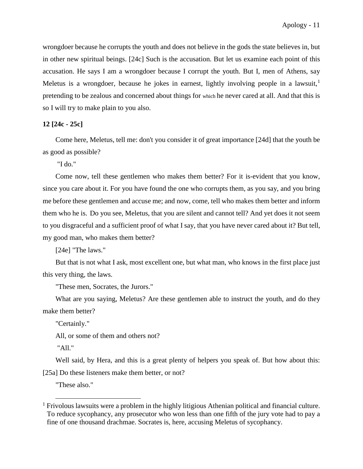wrongdoer because he corrupts the youth and does not believe in the gods the state believes in, but in other new spiritual beings. [24c] Such is the accusation. But let us examine each point of this accusation. He says I am a wrongdoer because I corrupt the youth. But I, men of Athens, say Meletus is a wrongdoer, because he jokes in earnest, lightly involving people in a lawsuit,<sup>[1](#page-10-0)</sup> pretending to be zealous and concerned about things for which he never cared at all. And that this is so I will try to make plain to you also.

## **12 [24c - 25c]**

Come here, Meletus, tell me: don't you consider it of great importance [24d] that the youth be as good as possible?

"I do."

Come now, tell these gentlemen who makes them better? For it is-evident that you know, since you care about it. For you have found the one who corrupts them, as you say, and you bring me before these gentlemen and accuse me; and now, come, tell who makes them better and inform them who he is. Do you see, Meletus, that you are silent and cannot tell? And yet does it not seem to you disgraceful and a sufficient proof of what I say, that you have never cared about it? But tell, my good man, who makes them better?

[24e] "The laws."

But that is not what I ask, most excellent one, but what man, who knows in the first place just this very thing, the laws.

"These men, Socrates, the Jurors."

What are you saying, Meletus? Are these gentlemen able to instruct the youth, and do they make them better?

"Certainly."

All, or some of them and others not?

"All."

 $\overline{a}$ 

Well said, by Hera, and this is a great plenty of helpers you speak of. But how about this: [25a] Do these listeners make them better, or not?

"These also."

<span id="page-10-0"></span> $<sup>1</sup>$  Frivolous lawsuits were a problem in the highly litigious Athenian political and financial culture.</sup> To reduce sycophancy, any prosecutor who won less than one fifth of the jury vote had to pay a fine of one thousand drachmae. Socrates is, here, accusing Meletus of sycophancy.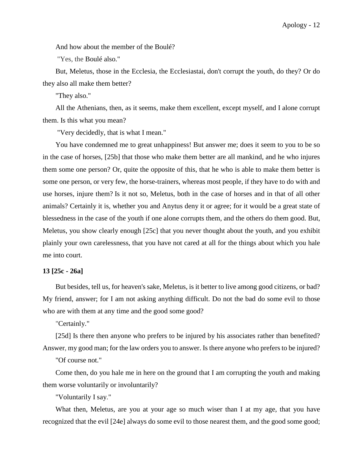Apology - 12

And how about the member of the Boulé?

"Yes, the Boulé also."

But, Meletus, those in the Ecclesia, the Ecclesiastai, don't corrupt the youth, do they? Or do they also all make them better?

"They also."

All the Athenians, then, as it seems, make them excellent, except myself, and I alone corrupt them. Is this what you mean?

"Very decidedly, that is what I mean."

You have condemned me to great unhappiness! But answer me; does it seem to you to be so in the case of horses, [25b] that those who make them better are all mankind, and he who injures them some one person? Or, quite the opposite of this, that he who is able to make them better is some one person, or very few, the horse-trainers, whereas most people, if they have to do with and use horses, injure them? Is it not so, Meletus, both in the case of horses and in that of all other animals? Certainly it is, whether you and Anytus deny it or agree; for it would be a great state of blessedness in the case of the youth if one alone corrupts them, and the others do them good. But, Meletus, you show clearly enough [25c] that you never thought about the youth, and you exhibit plainly your own carelessness, that you have not cared at all for the things about which you hale me into court.

#### **13 [25c - 26a]**

But besides, tell us, for heaven's sake, Meletus, is it better to live among good citizens, or bad? My friend, answer; for I am not asking anything difficult. Do not the bad do some evil to those who are with them at any time and the good some good?

"Certainly."

[25d] Is there then anyone who prefers to be injured by his associates rather than benefited? Answer, my good man; for the law orders you to answer. Is there anyone who prefers to be injured?

"Of course not."

Come then, do you hale me in here on the ground that I am corrupting the youth and making them worse voluntarily or involuntarily?

"Voluntarily I say."

What then, Meletus, are you at your age so much wiser than I at my age, that you have recognized that the evil [24e] always do some evil to those nearest them, and the good some good;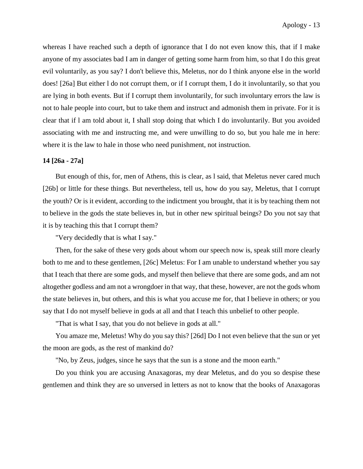whereas I have reached such a depth of ignorance that I do not even know this, that if I make anyone of my associates bad I am in danger of getting some harm from him, so that I do this great evil voluntarily, as you say? I don't believe this, Meletus, nor do I think anyone else in the world does! [26a] But either l do not corrupt them, or if I corrupt them, I do it involuntarily, so that you are lying in both events. But if I corrupt them involuntarily, for such involuntary errors the law is not to hale people into court, but to take them and instruct and admonish them in private. For it is clear that if l am told about it, I shall stop doing that which I do involuntarily. But you avoided associating with me and instructing me, and were unwilling to do so, but you hale me in here: where it is the law to hale in those who need punishment, not instruction.

#### **14 [26a - 27a]**

But enough of this, for, men of Athens, this is clear, as l said, that Meletus never cared much [26b] or little for these things. But nevertheless, tell us, how do you say, Meletus, that I corrupt the youth? Or is it evident, according to the indictment you brought, that it is by teaching them not to believe in the gods the state believes in, but in other new spiritual beings? Do you not say that it is by teaching this that I corrupt them?

"Very decidedly that is what I say."

Then, for the sake of these very gods about whom our speech now is, speak still more clearly both to me and to these gentlemen, [26c] Meletus: For I am unable to understand whether you say that I teach that there are some gods, and myself then believe that there are some gods, and am not altogether godless and am not a wrongdoer in that way, that these, however, are not the gods whom the state believes in, but others, and this is what you accuse me for, that I believe in others; or you say that I do not myself believe in gods at all and that I teach this unbelief to other people.

"That is what I say, that you do not believe in gods at all."

You amaze me, Meletus! Why do you say this? [26d] Do I not even believe that the sun or yet the moon are gods, as the rest of mankind do?

"No, by Zeus, judges, since he says that the sun is a stone and the moon earth."

Do you think you are accusing Anaxagoras, my dear Meletus, and do you so despise these gentlemen and think they are so unversed in letters as not to know that the books of Anaxagoras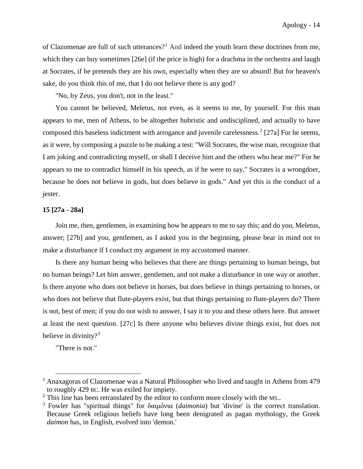of Clazomenae are full of such utterances?<sup>[1](#page-13-0)</sup> And indeed the youth learn these doctrines from me, which they can buy sometimes [26e] (if the price is high) for a drachma in the orchestra and laugh at Socrates, if he pretends they are his own, especially when they are so absurd! But for heaven's sake, do you think this of me, that I do not believe there is any god?

"No, by Zeus, you don't, not in the least."

You cannot be believed, Meletus, not even, as it seems to me, by yourself. For this man appears to me, men of Athens, to be altogether hubristic and undisciplined, and actually to have composed this baseless indictment with arrogance and juvenile carelessness.[2](#page-13-1) [27a] For he seems, as it were, by composing a puzzle to be making a test: "Will Socrates, the wise man, recognize that I am joking and contradicting myself, or shall I deceive him and the others who hear me?" For he appears to me to contradict himself in his speech, as if he were to say," Socrates is a wrongdoer, because he does not believe in gods, but does believe in gods." And yet this is the conduct of a jester.

#### **15 [27a - 28a]**

Join me, then, gentlemen, in examining how he appears to me to say this; and do you, Meletus, answer; [27b] and you, gentlemen, as I asked you in the beginning, please bear in mind not to make a disturbance if I conduct my argument in my accustomed manner.

Is there any human being who believes that there are things pertaining to human beings, but no human beings? Let him answer, gentlemen, and not make a disturbance in one way or another. Is there anyone who does not believe in horses, but does believe in things pertaining to horses, or who does not believe that flute-players exist, but that things pertaining to flute-players do? There is not, best of men; if you do not wish to answer, I say it to you and these others here. But answer at least the next question. [27c] Is there anyone who believes divine things exist, but does not believe in divinity? $3^3$  $3^3$ 

"There is not."

 $\overline{a}$ 

<span id="page-13-0"></span><sup>&</sup>lt;sup>1</sup> Anaxagoras of Clazomenae was a Natural Philosopher who lived and taught in Athens from 479 to roughly 429 BC. He was exiled for impiety.

<span id="page-13-1"></span> $2$  This line has been retranslated by the editor to conform more closely with the MS..

<span id="page-13-2"></span><sup>3</sup> Fowler has "spiritual things" for δαιμόνια (*daimonia*) but 'divine' is the correct translation. Because Greek religious beliefs have long been denigrated as pagan mythology, the Greek *daimon* has, in English, evolved into 'demon.'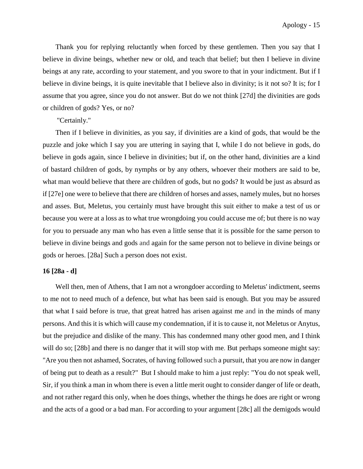Thank you for replying reluctantly when forced by these gentlemen. Then you say that I believe in divine beings, whether new or old, and teach that belief; but then I believe in divine beings at any rate, according to your statement, and you swore to that in your indictment. But if I believe in divine beings, it is quite inevitable that I believe also in divinity; is it not so? It is; for I assume that you agree, since you do not answer. But do we not think [27d] the divinities are gods or children of gods? Yes, or no?

"Certainly."

Then if I believe in divinities, as you say, if divinities are a kind of gods, that would be the puzzle and joke which I say you are uttering in saying that I, while I do not believe in gods, do believe in gods again, since I believe in divinities; but if, on the other hand, divinities are a kind of bastard children of gods, by nymphs or by any others, whoever their mothers are said to be, what man would believe that there are children of gods, but no gods? It would be just as absurd as if [27e] one were to believe that there are children of horses and asses, namely mules, but no horses and asses. But, Meletus, you certainly must have brought this suit either to make a test of us or because you were at a loss as to what true wrongdoing you could accuse me of; but there is no way for you to persuade any man who has even a little sense that it is possible for the same person to believe in divine beings and gods and again for the same person not to believe in divine beings or gods or heroes. [28a] Such a person does not exist.

## **16 [28a - d]**

Well then, men of Athens, that I am not a wrongdoer according to Meletus' indictment, seems to me not to need much of a defence, but what has been said is enough. But you may be assured that what I said before is true, that great hatred has arisen against me and in the minds of many persons. And this it is which will cause my condemnation, if it is to cause it, not Meletus or Anytus, but the prejudice and dislike of the many. This has condemned many other good men, and I think will do so; [28b] and there is no danger that it will stop with me. But perhaps someone might say: "Are you then not ashamed, Socrates, of having followed such a pursuit, that you are now in danger of being put to death as a result?" But I should make to him a just reply: "You do not speak well, Sir, if you think a man in whom there is even a little merit ought to consider danger of life or death, and not rather regard this only, when he does things, whether the things he does are right or wrong and the acts of a good or a bad man. For according to your argument [28c] all the demigods would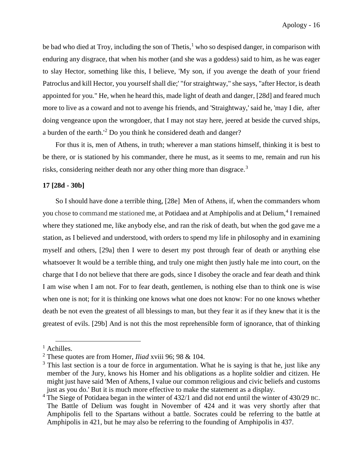be bad who died at Troy, including the son of Thetis, $<sup>1</sup>$  $<sup>1</sup>$  $<sup>1</sup>$  who so despised danger, in comparison with</sup> enduring any disgrace, that when his mother (and she was a goddess) said to him, as he was eager to slay Hector, something like this, I believe, 'My son, if you avenge the death of your friend Patroclus and kill Hector, you yourself shall die;' "for straightway," she says, "after Hector, is death appointed for you." He, when he heard this, made light of death and danger, [28d] and feared much more to live as a coward and not to avenge his friends, and 'Straightway,' said he, 'may I die, after doing vengeance upon the wrongdoer, that I may not stay here, jeered at beside the curved ships, a burden of the earth.'[2](#page-15-1) Do you think he considered death and danger?

For thus it is, men of Athens, in truth; wherever a man stations himself, thinking it is best to be there, or is stationed by his commander, there he must, as it seems to me, remain and run his risks, considering neither death nor any other thing more than disgrace.[3](#page-15-2)

## **17 [28d - 30b]**

So I should have done a terrible thing, [28e] Men of Athens, if, when the commanders whom you chose to command me stationed me, at Potidaea and at Amphipolis and at Delium,<sup>[4](#page-15-3)</sup> I remained where they stationed me, like anybody else, and ran the risk of death, but when the god gave me a station, as I believed and understood, with orders to spend my life in philosophy and in examining myself and others, [29a] then I were to desert my post through fear of death or anything else whatsoever It would be a terrible thing, and truly one might then justly hale me into court, on the charge that I do not believe that there are gods, since I disobey the oracle and fear death and think I am wise when I am not. For to fear death, gentlemen, is nothing else than to think one is wise when one is not; for it is thinking one knows what one does not know: For no one knows whether death be not even the greatest of all blessings to man, but they fear it as if they knew that it is the greatest of evils. [29b] And is not this the most reprehensible form of ignorance, that of thinking

<sup>&</sup>lt;sup>1</sup> Achilles.  $\overline{a}$ 

<span id="page-15-1"></span><span id="page-15-0"></span><sup>2</sup> These quotes are from Homer, *Iliad* xviii 96; 98 & 104.

<span id="page-15-2"></span> $3$  This last section is a tour de force in argumentation. What he is saying is that he, just like any member of the Jury, knows his Homer and his obligations as a hoplite soldier and citizen. He might just have said 'Men of Athens, I value our common religious and civic beliefs and customs just as you do.' But it is much more effective to make the statement as a display.

<span id="page-15-3"></span><sup>&</sup>lt;sup>4</sup> The Siege of Potidaea began in the winter of 432/1 and did not end until the winter of 430/29 BC. The Battle of Delium was fought in November of 424 and it was very shortly after that Amphipolis fell to the Spartans without a battle. Socrates could be referring to the battle at Amphipolis in 421, but he may also be referring to the founding of Amphipolis in 437.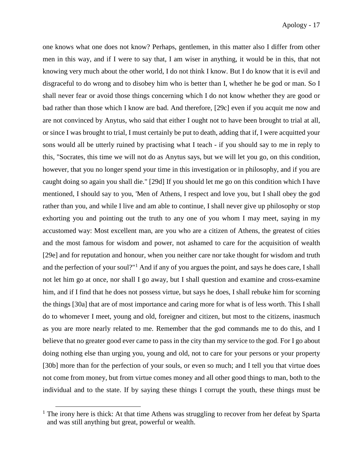one knows what one does not know? Perhaps, gentlemen, in this matter also I differ from other men in this way, and if I were to say that, I am wiser in anything, it would be in this, that not knowing very much about the other world, I do not think I know. But I do know that it is evil and disgraceful to do wrong and to disobey him who is better than I, whether he be god or man. So I shall never fear or avoid those things concerning which I do not know whether they are good or bad rather than those which I know are bad. And therefore, [29c] even if you acquit me now and are not convinced by Anytus, who said that either I ought not to have been brought to trial at all, or since I was brought to trial, I must certainly be put to death, adding that if, I were acquitted your sons would all be utterly ruined by practising what I teach - if you should say to me in reply to this, "Socrates, this time we will not do as Anytus says, but we will let you go, on this condition, however, that you no longer spend your time in this investigation or in philosophy, and if you are caught doing so again you shall die." [29d] If you should let me go on this condition which I have mentioned, I should say to you, 'Men of Athens, I respect and love you, but I shall obey the god rather than you, and while I live and am able to continue, I shall never give up philosophy or stop exhorting you and pointing out the truth to any one of you whom I may meet, saying in my accustomed way: Most excellent man, are you who are a citizen of Athens, the greatest of cities and the most famous for wisdom and power, not ashamed to care for the acquisition of wealth [29e] and for reputation and honour, when you neither care nor take thought for wisdom and truth and the perfection of your soul?"[1](#page-16-0) And if any of you argues the point, and says he does care, I shall not let him go at once, nor shall I go away, but I shall question and examine and cross-examine him, and if I find that he does not possess virtue, but says he does, I shall rebuke him for scorning the things [30a] that are of most importance and caring more for what is of less worth. This I shall do to whomever I meet, young and old, foreigner and citizen, but most to the citizens, inasmuch as you are more nearly related to me. Remember that the god commands me to do this, and I believe that no greater good ever came to pass in the city than my service to the god. For I go about doing nothing else than urging you, young and old, not to care for your persons or your property [30b] more than for the perfection of your souls, or even so much; and I tell you that virtue does not come from money, but from virtue comes money and all other good things to man, both to the individual and to the state. If by saying these things I corrupt the youth, these things must be

 $\overline{a}$ 

<span id="page-16-0"></span><sup>&</sup>lt;sup>1</sup> The irony here is thick: At that time Athens was struggling to recover from her defeat by Sparta and was still anything but great, powerful or wealth.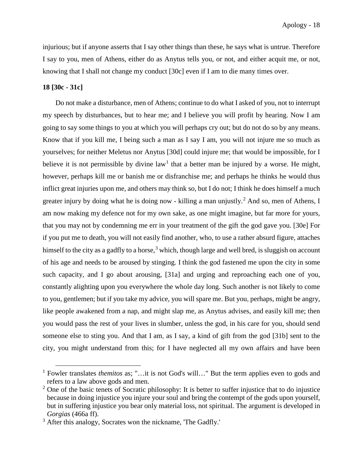injurious; but if anyone asserts that I say other things than these, he says what is untrue. Therefore I say to you, men of Athens, either do as Anytus tells you, or not, and either acquit me, or not, knowing that I shall not change my conduct [30c] even if I am to die many times over.

## **18 [30c - 31c]**

 $\overline{a}$ 

Do not make a disturbance, men of Athens; continue to do what I asked of you, not to interrupt my speech by disturbances, but to hear me; and I believe you will profit by hearing. Now I am going to say some things to you at which you will perhaps cry out; but do not do so by any means. Know that if you kill me, I being such a man as I say I am, you will not injure me so much as yourselves; for neither Meletus nor Anytus [30d] could injure me; that would be impossible, for I believe it is not permissible by divine law<sup>[1](#page-17-0)</sup> that a better man be injured by a worse. He might, however, perhaps kill me or banish me or disfranchise me; and perhaps he thinks he would thus inflict great injuries upon me, and others may think so, but I do not; I think he does himself a much greater injury by doing what he is doing now - killing a man unjustly.<sup>[2](#page-17-1)</sup> And so, men of Athens, I am now making my defence not for my own sake, as one might imagine, but far more for yours, that you may not by condemning me err in your treatment of the gift the god gave you. [30e] For if you put me to death, you will not easily find another, who, to use a rather absurd figure, attaches himself to the city as a gadfly to a horse,<sup>[3](#page-17-2)</sup> which, though large and well bred, is sluggish on account of his age and needs to be aroused by stinging. I think the god fastened me upon the city in some such capacity, and I go about arousing, [31a] and urging and reproaching each one of you, constantly alighting upon you everywhere the whole day long. Such another is not likely to come to you, gentlemen; but if you take my advice, you will spare me. But you, perhaps, might be angry, like people awakened from a nap, and might slap me, as Anytus advises, and easily kill me; then you would pass the rest of your lives in slumber, unless the god, in his care for you, should send someone else to sting you. And that I am, as I say, a kind of gift from the god [31b] sent to the city, you might understand from this; for I have neglected all my own affairs and have been

<span id="page-17-0"></span><sup>&</sup>lt;sup>1</sup> Fowler translates *themitos* as; "...it is not God's will..." But the term applies even to gods and refers to a law above gods and men.

<span id="page-17-1"></span> $2$  One of the basic tenets of Socratic philosophy: It is better to suffer injustice that to do injustice because in doing injustice you injure your soul and bring the contempt of the gods upon yourself, but in suffering injustice you bear only material loss, not spiritual. The argument is developed in *Gorgias* (466a ff).

<span id="page-17-2"></span><sup>&</sup>lt;sup>3</sup> After this analogy, Socrates won the nickname, 'The Gadfly.'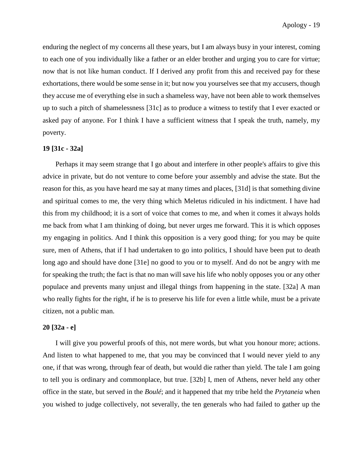enduring the neglect of my concerns all these years, but I am always busy in your interest, coming to each one of you individually like a father or an elder brother and urging you to care for virtue; now that is not like human conduct. If I derived any profit from this and received pay for these exhortations, there would be some sense in it; but now you yourselves see that my accusers, though they accuse me of everything else in such a shameless way, have not been able to work themselves up to such a pitch of shamelessness [31c] as to produce a witness to testify that I ever exacted or asked pay of anyone. For I think I have a sufficient witness that I speak the truth, namely, my poverty.

#### **19 [31c - 32a]**

Perhaps it may seem strange that I go about and interfere in other people's affairs to give this advice in private, but do not venture to come before your assembly and advise the state. But the reason for this, as you have heard me say at many times and places, [31d] is that something divine and spiritual comes to me, the very thing which Meletus ridiculed in his indictment. I have had this from my childhood; it is a sort of voice that comes to me, and when it comes it always holds me back from what I am thinking of doing, but never urges me forward. This it is which opposes my engaging in politics. And I think this opposition is a very good thing; for you may be quite sure, men of Athens, that if I had undertaken to go into politics, I should have been put to death long ago and should have done [31e] no good to you or to myself. And do not be angry with me for speaking the truth; the fact is that no man will save his life who nobly opposes you or any other populace and prevents many unjust and illegal things from happening in the state. [32a] A man who really fights for the right, if he is to preserve his life for even a little while, must be a private citizen, not a public man.

## **20 [32a - e]**

I will give you powerful proofs of this, not mere words, but what you honour more; actions. And listen to what happened to me, that you may be convinced that I would never yield to any one, if that was wrong, through fear of death, but would die rather than yield. The tale I am going to tell you is ordinary and commonplace, but true. [32b] I, men of Athens, never held any other office in the state, but served in the *Boulé*; and it happened that my tribe held the *Prytaneia* when you wished to judge collectively, not severally, the ten generals who had failed to gather up the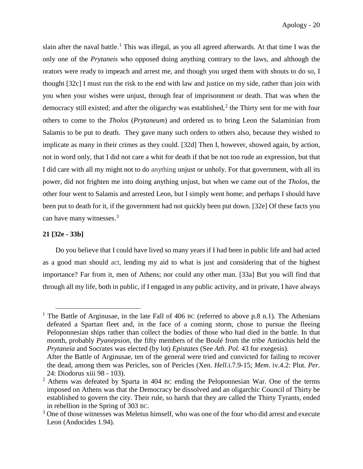slain after the naval battle.<sup>[1](#page-19-0)</sup> This was illegal, as you all agreed afterwards. At that time I was the only one of the *Prytaneis* who opposed doing anything contrary to the laws, and although the orators were ready to impeach and arrest me, and though you urged them with shouts to do so, I thought [32c] I must run the risk to the end with law and justice on my side, rather than join with you when your wishes were unjust, through fear of imprisonment or death. That was when the democracy still existed; and after the oligarchy was established, $2$  the Thirty sent for me with four others to come to the *Tholos* (*Prytaneum*) and ordered us to bring Leon the Salaminian from Salamis to be put to death. They gave many such orders to others also, because they wished to implicate as many in their crimes as they could. [32d] Then I, however, showed again, by action, not in word only, that I did not care a whit for death if that be not too rude an expression, but that I did care with all my might not to do anything unjust or unholy. For that government, with all its power, did not frighten me into doing anything unjust, but when we came out of the *Tholos*, the other four went to Salamis and arrested Leon, but I simply went home; and perhaps I should have been put to death for it, if the government had not quickly been put down. [32e] Of these facts you can have many witnesses.<sup>[3](#page-19-2)</sup>

## **21 [32e - 33b]**

 $\overline{a}$ 

Do you believe that I could have lived so many years if I had been in public life and had acted as a good man should act, lending my aid to what is just and considering that of the highest importance? Far from it, men of Athens; nor could any other man. [33a] But you will find that through all my life, both in public, if I engaged in any public activity, and in private, I have always

<span id="page-19-0"></span><sup>&</sup>lt;sup>1</sup> The Battle of Arginusae, in the late Fall of 406 BC (referred to above p.8 n.1). The Athenians defeated a Spartan fleet and, in the face of a coming storm, chose to pursue the fleeing Peloponnesian ships rather than collect the bodies of those who had died in the battle. In that month, probably *Pyanepsion*, the fifty members of the Boulé from the tribe Antiochis held the *Prytaneia* and Socrates was elected (by lot) *Epistates* (See *Ath. Pol.* 43 for exegesis).

After the Battle of Arginusae, ten of the general were tried and convicted for failing to recover the dead, among them was Pericles, son of Pericles (Xen. *Hell.*i.7.9-15; *Mem*. iv.4.2: Plut. *Per.*  24: Diodorus xiii 98 - 103).

<span id="page-19-1"></span> $2$  Athens was defeated by Sparta in 404 BC ending the Peloponnesian War. One of the terms imposed on Athens was that the Democracy be dissolved and an oligarchic Council of Thirty be established to govern the city. Their rule, so harsh that they are called the Thirty Tyrants, ended in rebellion in the Spring of 303 BC.

<span id="page-19-2"></span><sup>&</sup>lt;sup>3</sup> One of those witnesses was Meletus himself, who was one of the four who did arrest and execute Leon (Andocides 1.94).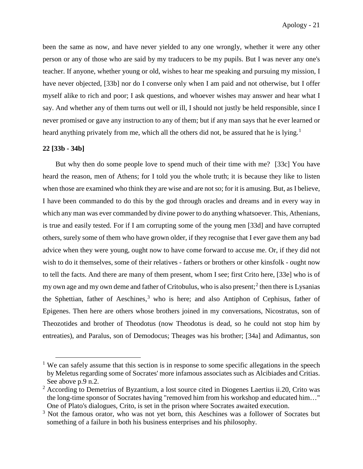been the same as now, and have never yielded to any one wrongly, whether it were any other person or any of those who are said by my traducers to be my pupils. But I was never any one's teacher. If anyone, whether young or old, wishes to hear me speaking and pursuing my mission, I have never objected, [33b] nor do I converse only when I am paid and not otherwise, but I offer myself alike to rich and poor; I ask questions, and whoever wishes may answer and hear what I say. And whether any of them turns out well or ill, I should not justly be held responsible, since I never promised or gave any instruction to any of them; but if any man says that he ever learned or heard anything privately from me, which all the others did not, be assured that he is lying.<sup>[1](#page-20-0)</sup>

## **22 [33b - 34b]**

 $\overline{a}$ 

But why then do some people love to spend much of their time with me? [33c] You have heard the reason, men of Athens; for I told you the whole truth; it is because they like to listen when those are examined who think they are wise and are not so; for it is amusing. But, as I believe, I have been commanded to do this by the god through oracles and dreams and in every way in which any man was ever commanded by divine power to do anything whatsoever. This, Athenians, is true and easily tested. For if I am corrupting some of the young men [33d] and have corrupted others, surely some of them who have grown older, if they recognise that I ever gave them any bad advice when they were young, ought now to have come forward to accuse me. Or, if they did not wish to do it themselves, some of their relatives - fathers or brothers or other kinsfolk - ought now to tell the facts. And there are many of them present, whom I see; first Crito here, [33e] who is of my own age and my own deme and father of Critobulus, who is also present;<sup>[2](#page-20-1)</sup> then there is Lysanias the Sphettian, father of Aeschines, $3$  who is here; and also Antiphon of Cephisus, father of Epigenes. Then here are others whose brothers joined in my conversations, Nicostratus, son of Theozotides and brother of Theodotus (now Theodotus is dead, so he could not stop him by entreaties), and Paralus, son of Demodocus; Theages was his brother; [34a] and Adimantus, son

<span id="page-20-0"></span><sup>&</sup>lt;sup>1</sup> We can safely assume that this section is in response to some specific allegations in the speech by Meletus regarding some of Socrates' more infamous associates such as Alcibiades and Critias. See above p.9 n.2.

<span id="page-20-1"></span><sup>&</sup>lt;sup>2</sup> According to Demetrius of Byzantium, a lost source cited in Diogenes Laertius ii.20, Crito was the long-time sponsor of Socrates having "removed him from his workshop and educated him…" One of Plato's dialogues, Crito, is set in the prison where Socrates awaited execution.

<span id="page-20-2"></span> $3$  Not the famous orator, who was not yet born, this Aeschines was a follower of Socrates but something of a failure in both his business enterprises and his philosophy.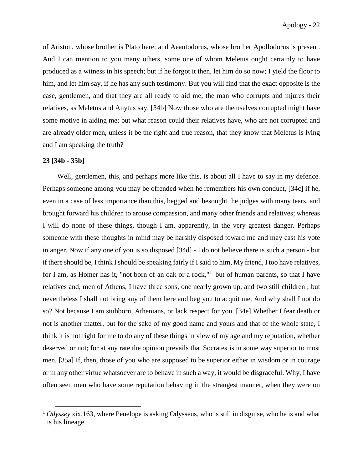of Ariston, whose brother is Plato here; and Aeantodorus, whose brother Apollodorus is present. And I can mention to you many others, some one of whom Meletus ought certainly to have produced as a witness in his speech; but if he forgot it then, let him do so now; I yield the floor to him, and let him say, if he has any such testimony. But you will find that the exact opposite is the case, gentlemen, and that they are all ready to aid me, the man who corrupts and injures their relatives, as Meletus and Anytus say. [34b] Now those who are themselves corrupted might have some motive in aiding me; but what reason could their relatives have, who are not corrupted and are already older men, unless it be the right and true reason, that they know that Meletus is lying and I am speaking the truth?

## **23 [34b - 35b]**

 $\overline{a}$ 

Well, gentlemen, this, and perhaps more like this, is about all I have to say in my defence. Perhaps someone among you may be offended when he remembers his own conduct, [34c] if he, even in a case of less importance than this, begged and besought the judges with many tears, and brought forward his children to arouse compassion, and many other friends and relatives; whereas I will do none of these things, though I am, apparently, in the very greatest danger. Perhaps someone with these thoughts in mind may be harshly disposed toward me and may cast his vote in anger. Now if any one of you is so disposed [34d] - I do not believe there is such a person - but if there should be, I think I should be speaking fairly if I said to him, My friend, I too have relatives, for I am, as Homer has it, "not born of an oak or a rock,"<sup>[1](#page-21-0)</sup> but of human parents, so that I have relatives and, men of Athens, I have three sons, one nearly grown up, and two still children ; but nevertheless I shall not bring any of them here and beg you to acquit me. And why shall I not do so? Not because I am stubborn, Athenians, or lack respect for you. [34e] Whether I fear death or not is another matter, but for the sake of my good name and yours and that of the whole state, I think it is not right for me to do any of these things in view of my age and my reputation, whether deserved or not; for at any rate the opinion prevails that Socrates is in some way superior to most men. [35a] If, then, those of you who are supposed to be superior either in wisdom or in courage or in any other virtue whatsoever are to behave in such a way, it would be disgraceful. Why, I have often seen men who have some reputation behaving in the strangest manner, when they were on

<span id="page-21-0"></span><sup>1</sup> *Odyssey* xix.163, where Penelope is asking Odysseus, who is still in disguise, who he is and what is his lineage.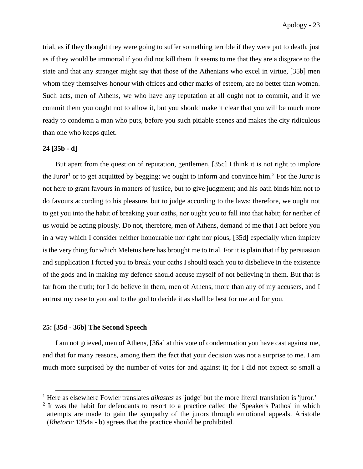trial, as if they thought they were going to suffer something terrible if they were put to death, just as if they would be immortal if you did not kill them. It seems to me that they are a disgrace to the state and that any stranger might say that those of the Athenians who excel in virtue, [35b] men whom they themselves honour with offices and other marks of esteem, are no better than women. Such acts, men of Athens, we who have any reputation at all ought not to commit, and if we commit them you ought not to allow it, but you should make it clear that you will be much more ready to condemn a man who puts, before you such pitiable scenes and makes the city ridiculous than one who keeps quiet.

#### **24 [35b - d]**

But apart from the question of reputation, gentlemen, [35c] I think it is not right to implore the Juror<sup>[1](#page-22-0)</sup> or to get acquitted by begging; we ought to inform and convince him.<sup>[2](#page-22-1)</sup> For the Juror is not here to grant favours in matters of justice, but to give judgment; and his oath binds him not to do favours according to his pleasure, but to judge according to the laws; therefore, we ought not to get you into the habit of breaking your oaths, nor ought you to fall into that habit; for neither of us would be acting piously. Do not, therefore, men of Athens, demand of me that I act before you in a way which I consider neither honourable nor right nor pious, [35d] especially when impiety isthe very thing for which Meletus here has brought me to trial. For it is plain that if by persuasion and supplication I forced you to break your oaths I should teach you to disbelieve in the existence of the gods and in making my defence should accuse myself of not believing in them. But that is far from the truth; for I do believe in them, men of Athens, more than any of my accusers, and I entrust my case to you and to the god to decide it as shall be best for me and for you.

#### **25: [35d - 36b] The Second Speech**

 $\overline{a}$ 

I am not grieved, men of Athens, [36a] at this vote of condemnation you have cast against me, and that for many reasons, among them the fact that your decision was not a surprise to me. I am much more surprised by the number of votes for and against it; for I did not expect so small a

<span id="page-22-0"></span><sup>1</sup> Here as elsewhere Fowler translates *dikastes* as 'judge' but the more literal translation is 'juror.'

<span id="page-22-1"></span> $2$  It was the habit for defendants to resort to a practice called the 'Speaker's Pathos' in which attempts are made to gain the sympathy of the jurors through emotional appeals. Aristotle (*Rhetoric* 1354a - b) agrees that the practice should be prohibited.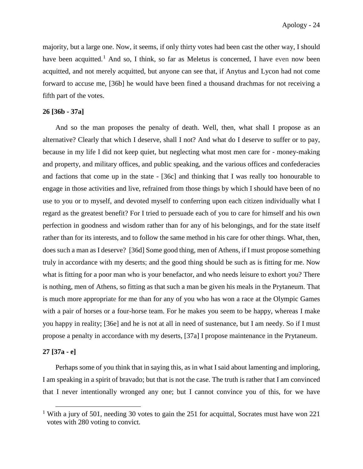majority, but a large one. Now, it seems, if only thirty votes had been cast the other way, I should have been acquitted.<sup>[1](#page-23-0)</sup> And so, I think, so far as Meletus is concerned, I have even now been acquitted, and not merely acquitted, but anyone can see that, if Anytus and Lycon had not come forward to accuse me, [36b] he would have been fined a thousand drachmas for not receiving a fifth part of the votes.

#### **26 [36b - 37a]**

And so the man proposes the penalty of death. Well, then, what shall I propose as an alternative? Clearly that which I deserve, shall I not? And what do I deserve to suffer or to pay, because in my life I did not keep quiet, but neglecting what most men care for - money-making and property, and military offices, and public speaking, and the various offices and confederacies and factions that come up in the state - [36c] and thinking that I was really too honourable to engage in those activities and live, refrained from those things by which I should have been of no use to you or to myself, and devoted myself to conferring upon each citizen individually what I regard as the greatest benefit? For I tried to persuade each of you to care for himself and his own perfection in goodness and wisdom rather than for any of his belongings, and for the state itself rather than for its interests, and to follow the same method in his care for other things. What, then, does such a man as I deserve? [36d] Some good thing, men of Athens, if I must propose something truly in accordance with my deserts; and the good thing should be such as is fitting for me. Now what is fitting for a poor man who is your benefactor, and who needs leisure to exhort you? There is nothing, men of Athens, so fitting as that such a man be given his meals in the Prytaneum. That is much more appropriate for me than for any of you who has won a race at the Olympic Games with a pair of horses or a four-horse team. For he makes you seem to be happy, whereas I make you happy in reality; [36e] and he is not at all in need of sustenance, but I am needy. So if I must propose a penalty in accordance with my deserts, [37a] I propose maintenance in the Prytaneum.

#### **27 [37a - e]**

 $\overline{a}$ 

Perhaps some of you think that in saying this, as in what I said about lamenting and imploring, I am speaking in a spirit of bravado; but that is not the case. The truth is rather that I am convinced that I never intentionally wronged any one; but I cannot convince you of this, for we have

<span id="page-23-0"></span><sup>&</sup>lt;sup>1</sup> With a jury of 501, needing 30 votes to gain the 251 for acquittal, Socrates must have won 221 votes with 280 voting to convict.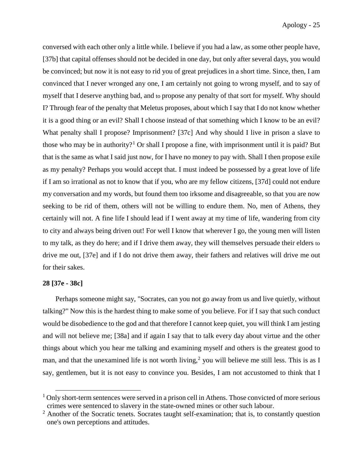conversed with each other only a little while. I believe if you had a law, as some other people have, [37b] that capital offenses should not be decided in one day, but only after several days, you would be convinced; but now it is not easy to rid you of great prejudices in a short time. Since, then, I am convinced that I never wronged any one, I am certainly not going to wrong myself, and to say of myself that I deserve anything bad, and to propose any penalty of that sort for myself. Why should I? Through fear of the penalty that Meletus proposes, about which I say that I do not know whether it is a good thing or an evil? Shall I choose instead of that something which I know to be an evil? What penalty shall I propose? Imprisonment? [37c] And why should I live in prison a slave to those who may be in authority?<sup>[1](#page-24-0)</sup> Or shall I propose a fine, with imprisonment until it is paid? But that is the same as what I said just now, for I have no money to pay with. Shall I then propose exile as my penalty? Perhaps you would accept that. I must indeed be possessed by a great love of life if I am so irrational as not to know that if you, who are my fellow citizens, [37d] could not endure my conversation and my words, but found them too irksome and disagreeable, so that you are now seeking to be rid of them, others will not be willing to endure them. No, men of Athens, they certainly will not. A fine life I should lead if I went away at my time of life, wandering from city to city and always being driven out! For well I know that wherever I go, the young men will listen to my talk, as they do here; and if I drive them away, they will themselves persuade their elders to drive me out, [37e] and if I do not drive them away, their fathers and relatives will drive me out for their sakes.

## **28 [37e - 38c]**

 $\overline{a}$ 

Perhaps someone might say, "Socrates, can you not go away from us and live quietly, without talking?" Now this is the hardest thing to make some of you believe. For if I say that such conduct would be disobedience to the god and that therefore I cannot keep quiet, you will think I am jesting and will not believe me; [38a] and if again I say that to talk every day about virtue and the other things about which you hear me talking and examining myself and others is the greatest good to man, and that the unexamined life is not worth living,<sup>[2](#page-24-1)</sup> you will believe me still less. This is as I say, gentlemen, but it is not easy to convince you. Besides, I am not accustomed to think that I

<span id="page-24-0"></span> $1$  Only short-term sentences were served in a prison cell in Athens. Those convicted of more serious crimes were sentenced to slavery in the state-owned mines or other such labour.

<span id="page-24-1"></span><sup>&</sup>lt;sup>2</sup> Another of the Socratic tenets. Socrates taught self-examination; that is, to constantly question one's own perceptions and attitudes.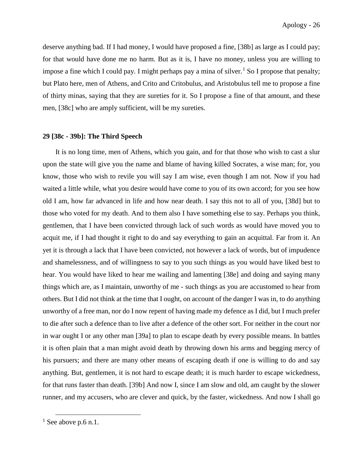deserve anything bad. If I had money, I would have proposed a fine, [38b] as large as I could pay; for that would have done me no harm. But as it is, I have no money, unless you are willing to impose a fine which I could pay. I might perhaps pay a mina of silver.<sup>[1](#page-25-0)</sup> So I propose that penalty; but Plato here, men of Athens, and Crito and Critobulus, and Aristobulus tell me to propose a fine of thirty minas, saying that they are sureties for it. So I propose a fine of that amount, and these men, [38c] who are amply sufficient, will be my sureties.

#### **29 [38c - 39b]: The Third Speech**

It is no long time, men of Athens, which you gain, and for that those who wish to cast a slur upon the state will give you the name and blame of having killed Socrates, a wise man; for, you know, those who wish to revile you will say I am wise, even though I am not. Now if you had waited a little while, what you desire would have come to you of its own accord; for you see how old I am, how far advanced in life and how near death. I say this not to all of you, [38d] but to those who voted for my death. And to them also I have something else to say. Perhaps you think, gentlemen, that I have been convicted through lack of such words as would have moved you to acquit me, if I had thought it right to do and say everything to gain an acquittal. Far from it. An yet it is through a lack that I have been convicted, not however a lack of words, but of impudence and shamelessness, and of willingness to say to you such things as you would have liked best to hear. You would have liked to hear me wailing and lamenting [38e] and doing and saying many things which are, as I maintain, unworthy of me - such things as you are accustomed to hear from others. But I did not think at the time that I ought, on account of the danger I was in, to do anything unworthy of a free man, nor do I now repent of having made my defence as I did, but I much prefer to die after such a defence than to live after a defence of the other sort. For neither in the court nor in war ought I or any other man [39a] to plan to escape death by every possible means. In battles it is often plain that a man might avoid death by throwing down his arms and begging mercy of his pursuers; and there are many other means of escaping death if one is willing to do and say anything. But, gentlemen, it is not hard to escape death; it is much harder to escape wickedness, for that runs faster than death. [39b] And now I, since I am slow and old, am caught by the slower runner, and my accusers, who are clever and quick, by the faster, wickedness. And now I shall go

 $\overline{a}$ 

<span id="page-25-0"></span><sup>&</sup>lt;sup>1</sup> See above p.6 n.1.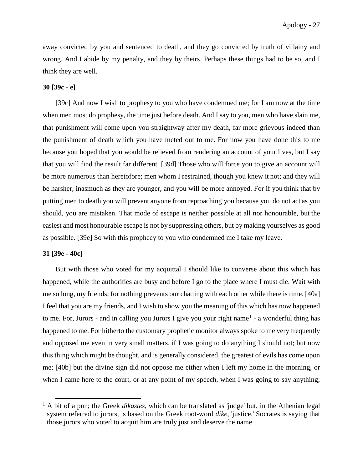away convicted by you and sentenced to death, and they go convicted by truth of villainy and wrong. And I abide by my penalty, and they by theirs. Perhaps these things had to be so, and I think they are well.

#### **30 [39c - e]**

[39c] And now I wish to prophesy to you who have condemned me; for I am now at the time when men most do prophesy, the time just before death. And I say to you, men who have slain me, that punishment will come upon you straightway after my death, far more grievous indeed than the punishment of death which you have meted out to me. For now you have done this to me because you hoped that you would be relieved from rendering an account of your lives, but I say that you will find the result far different. [39d] Those who will force you to give an account will be more numerous than heretofore; men whom I restrained, though you knew it not; and they will be harsher, inasmuch as they are younger, and you will be more annoyed. For if you think that by putting men to death you will prevent anyone from reproaching you because you do not act as you should, you are mistaken. That mode of escape is neither possible at all nor honourable, but the easiest and most honourable escape is not by suppressing others, but by making yourselves as good as possible. [39e] So with this prophecy to you who condemned me I take my leave.

## **31 [39e - 40c]**

 $\overline{a}$ 

But with those who voted for my acquittal I should like to converse about this which has happened, while the authorities are busy and before I go to the place where I must die. Wait with me so long, my friends; for nothing prevents our chatting with each other while there is time. [40a] I feel that you are my friends, and I wish to show you the meaning of this which has now happened to me. For, Jurors - and in calling you Jurors I give you your right name<sup>[1](#page-26-0)</sup> - a wonderful thing has happened to me. For hitherto the customary prophetic monitor always spoke to me very frequently and opposed me even in very small matters, if I was going to do anything I should not; but now this thing which might be thought, and is generally considered, the greatest of evils has come upon me; [40b] but the divine sign did not oppose me either when I left my home in the morning, or when I came here to the court, or at any point of my speech, when I was going to say anything;

<span id="page-26-0"></span><sup>1</sup> A bit of a pun; the Greek *dikastes*, which can be translated as 'judge' but, in the Athenian legal system referred to jurors, is based on the Greek root-word *dike*, 'justice.' Socrates is saying that those jurors who voted to acquit him are truly just and deserve the name.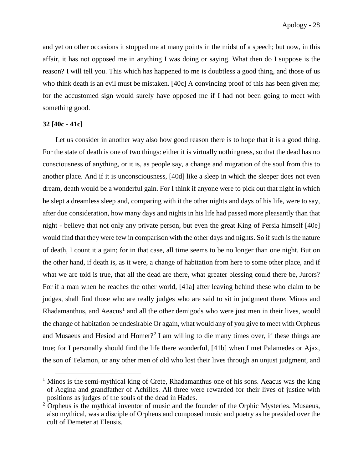and yet on other occasions it stopped me at many points in the midst of a speech; but now, in this affair, it has not opposed me in anything I was doing or saying. What then do I suppose is the reason? I will tell you. This which has happened to me is doubtless a good thing, and those of us who think death is an evil must be mistaken. [40c] A convincing proof of this has been given me; for the accustomed sign would surely have opposed me if I had not been going to meet with something good.

### **32 [40c - 41c]**

 $\overline{a}$ 

Let us consider in another way also how good reason there is to hope that it is a good thing. For the state of death is one of two things: either it is virtually nothingness, so that the dead has no consciousness of anything, or it is, as people say, a change and migration of the soul from this to another place. And if it is unconsciousness, [40d] like a sleep in which the sleeper does not even dream, death would be a wonderful gain. For I think if anyone were to pick out that night in which he slept a dreamless sleep and, comparing with it the other nights and days of his life, were to say, after due consideration, how many days and nights in his life had passed more pleasantly than that night - believe that not only any private person, but even the great King of Persia himself [40e] would find that they were few in comparison with the other days and nights. So if such is the nature of death, I count it a gain; for in that case, all time seems to be no longer than one night. But on the other hand, if death is, as it were, a change of habitation from here to some other place, and if what we are told is true, that all the dead are there, what greater blessing could there be, Jurors? For if a man when he reaches the other world, [41a] after leaving behind these who claim to be judges, shall find those who are really judges who are said to sit in judgment there, Minos and Rhadamanthus, and Aeacus<sup>[1](#page-27-0)</sup> and all the other demigods who were just men in their lives, would the change of habitation be undesirable Or again, what would any of you give to meet with Orpheus and Musaeus and Hesiod and Homer?<sup>[2](#page-27-1)</sup> I am willing to die many times over, if these things are true; for I personally should find the life there wonderful, [41b] when I met Palamedes or Ajax, the son of Telamon, or any other men of old who lost their lives through an unjust judgment, and

<span id="page-27-0"></span> $<sup>1</sup>$  Minos is the semi-mythical king of Crete, Rhadamanthus one of his sons. Aeacus was the king</sup> of Aegina and grandfather of Achilles. All three were rewarded for their lives of justice with positions as judges of the souls of the dead in Hades.

<span id="page-27-1"></span> $2$  Orpheus is the mythical inventor of music and the founder of the Orphic Mysteries. Musaeus, also mythical, was a disciple of Orpheus and composed music and poetry as he presided over the cult of Demeter at Eleusis.